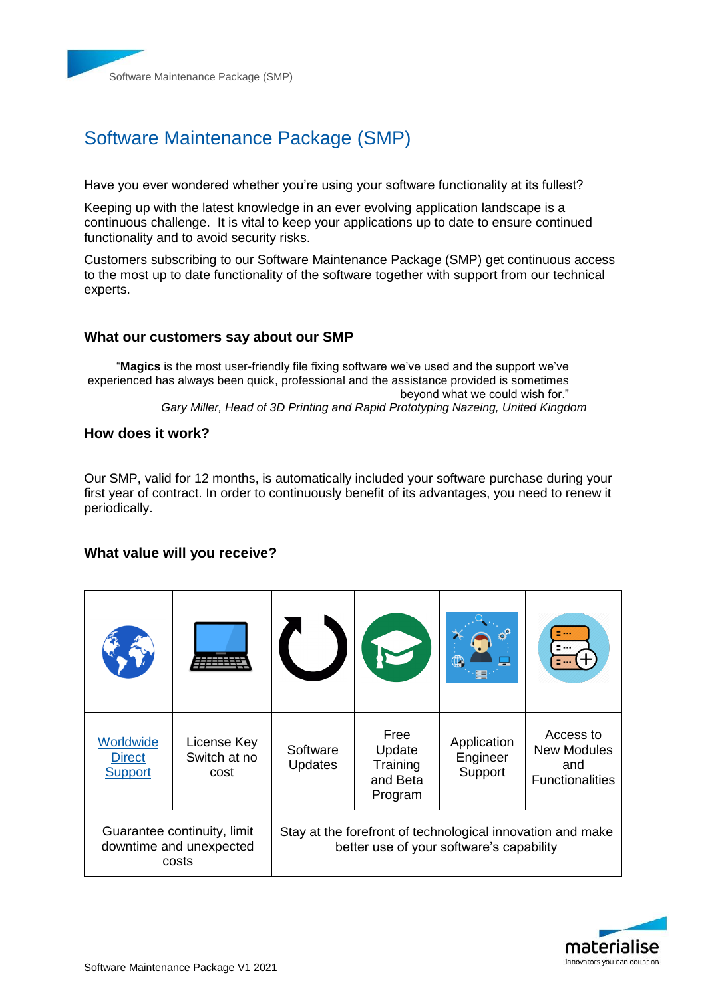

# Software Maintenance Package (SMP)

Have you ever wondered whether you're using your software functionality at its fullest?

Keeping up with the latest knowledge in an ever evolving application landscape is a continuous challenge. It is vital to keep your applications up to date to ensure continued functionality and to avoid security risks.

Customers subscribing to our Software Maintenance Package (SMP) get continuous access to the most up to date functionality of the software together with support from our technical experts.

### **What our customers say about our SMP**

"**Magics** is the most user-friendly file fixing software we've used and the support we've experienced has always been quick, professional and the assistance provided is sometimes beyond what we could wish for." *Gary Miller, Head of 3D Printing and Rapid Prototyping Nazeing, United Kingdom*

### **How does it work?**

Our SMP, valid for 12 months, is automatically included your software purchase during your first year of contract. In order to continuously benefit of its advantages, you need to renew it periodically.

### **What value will you receive?**

| Worldwide<br><b>Direct</b><br><b>Support</b>                    | License Key<br>Switch at no<br>cost | Software<br>Updates                                                                                    | Free<br>Update<br>Training<br>and Beta<br>Program | Application<br>Engineer<br>Support | Access to<br><b>New Modules</b><br>and<br><b>Functionalities</b> |
|-----------------------------------------------------------------|-------------------------------------|--------------------------------------------------------------------------------------------------------|---------------------------------------------------|------------------------------------|------------------------------------------------------------------|
| Guarantee continuity, limit<br>downtime and unexpected<br>costs |                                     | Stay at the forefront of technological innovation and make<br>better use of your software's capability |                                                   |                                    |                                                                  |